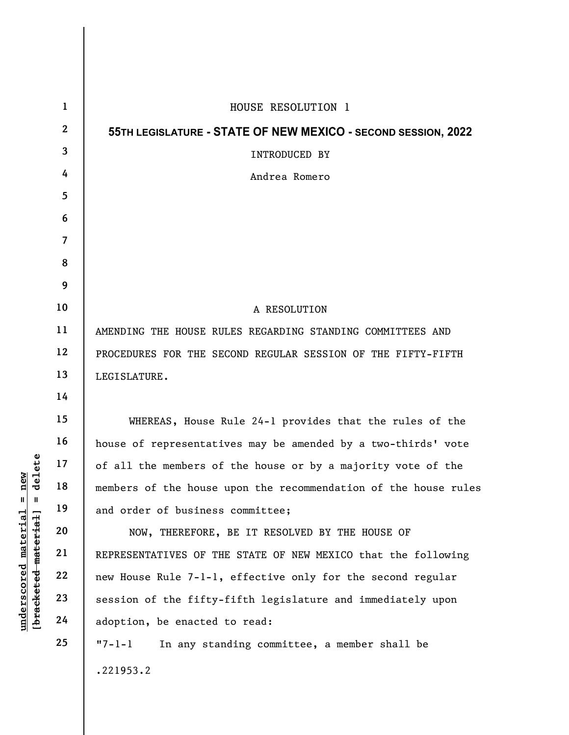| delete<br>new                    | $\mathbf{1}$            | HOUSE RESOLUTION 1                                              |
|----------------------------------|-------------------------|-----------------------------------------------------------------|
|                                  | $\mathbf{2}$            | 55TH LEGISLATURE - STATE OF NEW MEXICO - SECOND SESSION, 2022   |
|                                  | 3                       | INTRODUCED BY                                                   |
|                                  | 4                       | Andrea Romero                                                   |
|                                  | 5                       |                                                                 |
|                                  | 6                       |                                                                 |
|                                  | $\overline{\mathbf{7}}$ |                                                                 |
|                                  | 8                       |                                                                 |
|                                  | 9                       |                                                                 |
|                                  | 10                      | A RESOLUTION                                                    |
|                                  | 11                      | AMENDING THE HOUSE RULES REGARDING STANDING COMMITTEES AND      |
|                                  | 12                      | PROCEDURES FOR THE SECOND REGULAR SESSION OF THE FIFTY-FIFTH    |
|                                  | 13                      | LEGISLATURE.                                                    |
|                                  | 14                      |                                                                 |
|                                  | 15                      | WHEREAS, House Rule 24-1 provides that the rules of the         |
|                                  | 16                      | house of representatives may be amended by a two-thirds' vote   |
|                                  | 17                      | of all the members of the house or by a majority vote of the    |
|                                  | 18                      | members of the house upon the recommendation of the house rules |
| $\mathsf{I}$<br>Ш                | 19                      | and order of business committee;                                |
| [bracketed material]<br>material | 20                      | NOW, THEREFORE, BE IT RESOLVED BY THE HOUSE OF                  |
|                                  | 21                      | REPRESENTATIVES OF THE STATE OF NEW MEXICO that the following   |
| underscored                      | 22                      | new House Rule 7-1-1, effective only for the second regular     |
|                                  | 23                      | session of the fifty-fifth legislature and immediately upon     |
|                                  | 24                      | adoption, be enacted to read:                                   |
|                                  | 25                      | In any standing committee, a member shall be<br>$"7 - 1 - 1$    |
|                                  |                         | .221953.2                                                       |

 $\overline{\phantom{a}}$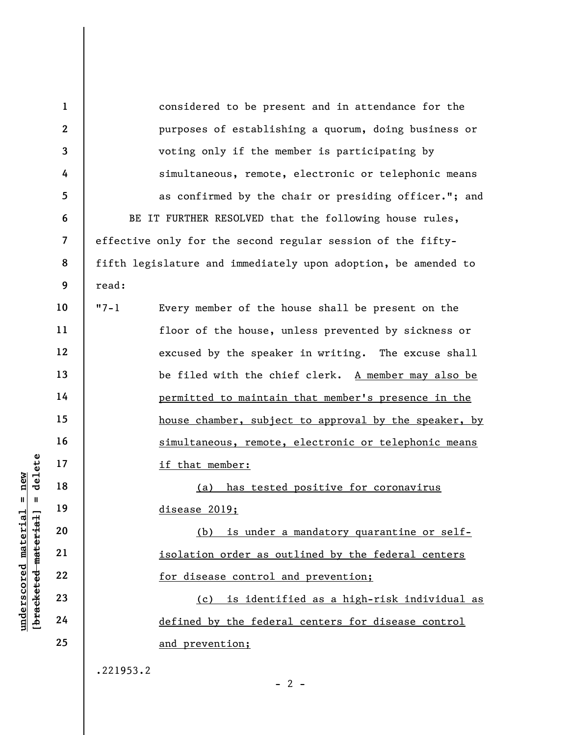underscore in that mere that the set of the test of the set of the set of the set of the set of the set of the<br>disease 20 (b)<br>disease 20 (b)<br>disease 20 (b)<br>disease 20 (b)<br>isolation of the set of the set of the set of the s 1 2 3 4 5 6 7 8 9 10 11 12 13 14 15 16 17 18 19 20 21 22 23 24 25 considered to be present and in attendance for the purposes of establishing a quorum, doing business or voting only if the member is participating by simultaneous, remote, electronic or telephonic means as confirmed by the chair or presiding officer."; and BE IT FURTHER RESOLVED that the following house rules, effective only for the second regular session of the fiftyfifth legislature and immediately upon adoption, be amended to read: "7-1 Every member of the house shall be present on the floor of the house, unless prevented by sickness or excused by the speaker in writing. The excuse shall be filed with the chief clerk. A member may also be permitted to maintain that member's presence in the house chamber, subject to approval by the speaker, by simultaneous, remote, electronic or telephonic means if that member: (a) has tested positive for coronavirus disease 2019; (b) is under a mandatory quarantine or selfisolation order as outlined by the federal centers for disease control and prevention; (c) is identified as a high-risk individual as defined by the federal centers for disease control and prevention; .221953.2

 $- 2 -$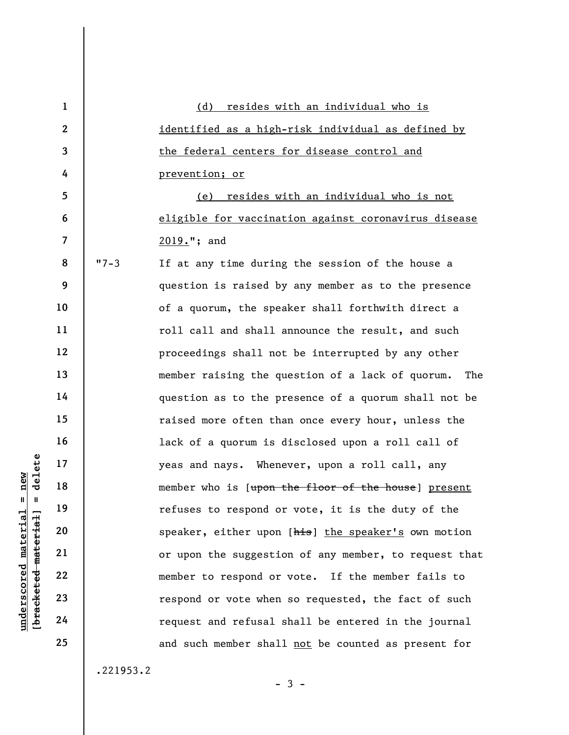underscored material material material material material material material material material material control is<br>discussed to the material of the speaker, experience of the material control material control material contro 1 2 3 4 5 6 7 8 9 10 11 12 13 14 15 16 17 18 19 20 21 22 23 24 25 (d) resides with an individual who is identified as a high-risk individual as defined by the federal centers for disease control and prevention; or (e) resides with an individual who is not eligible for vaccination against coronavirus disease 2019."; and "7-3 If at any time during the session of the house a question is raised by any member as to the presence of a quorum, the speaker shall forthwith direct a roll call and shall announce the result, and such proceedings shall not be interrupted by any other member raising the question of a lack of quorum. The question as to the presence of a quorum shall not be raised more often than once every hour, unless the lack of a quorum is disclosed upon a roll call of yeas and nays. Whenever, upon a roll call, any member who is [upon the floor of the house] present refuses to respond or vote, it is the duty of the speaker, either upon [his] the speaker's own motion or upon the suggestion of any member, to request that member to respond or vote. If the member fails to respond or vote when so requested, the fact of such request and refusal shall be entered in the journal and such member shall not be counted as present for

.221953.2

 $-3 -$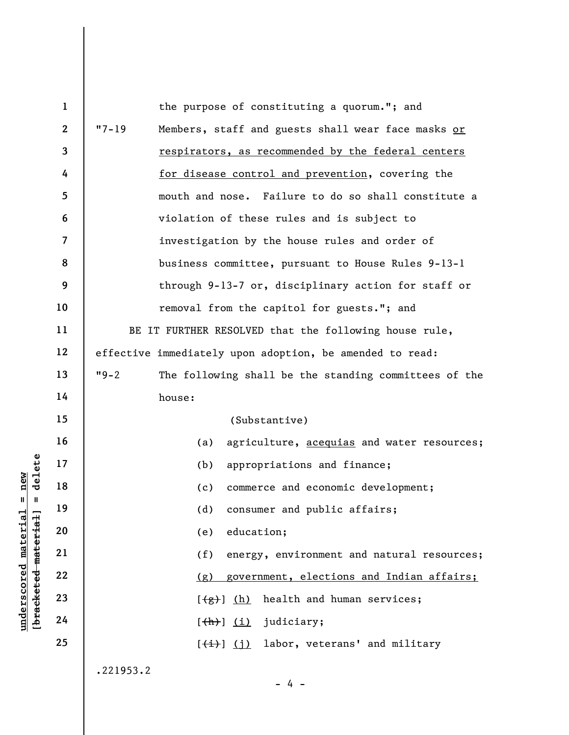underscored material = new and the core of the core of the core of the core of the core of the core of the core of the core of the core of the core of the core of the core of the core of the core of the core of the core of 1 2 3 4 5 6 7 8 9 10 11 12 13 14 15 16 17 18 19 20 21 22 23 24 25 the purpose of constituting a quorum."; and "7-19 Members, staff and guests shall wear face masks or respirators, as recommended by the federal centers for disease control and prevention, covering the mouth and nose. Failure to do so shall constitute a violation of these rules and is subject to investigation by the house rules and order of business committee, pursuant to House Rules 9-13-1 through 9-13-7 or, disciplinary action for staff or removal from the capitol for guests."; and BE IT FURTHER RESOLVED that the following house rule, effective immediately upon adoption, be amended to read: "9-2 The following shall be the standing committees of the house: (Substantive) (a) agriculture, acequias and water resources; (b) appropriations and finance; (c) commerce and economic development; (d) consumer and public affairs; (e) education; (f) energy, environment and natural resources; (g) government, elections and Indian affairs;  $[\frac{f(g)}{g}]$  (h) health and human services;  $[\frac{h}{h}]$   $(i)$  judiciary;  $[\frac{1}{1}, \frac{1}{2}]$  labor, veterans' and military .221953.2

- 4 -